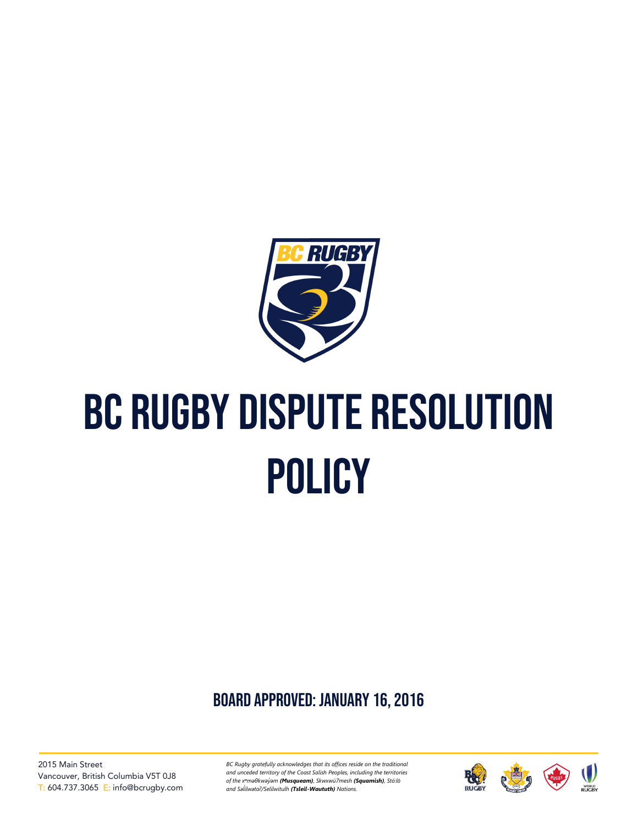

# BC Rugby dispute resolution **POLICY**

board approved: January 16, 2016

2015 Main Street Vancouver, British Columbia V5T 0J8 T: 604.737.3065 E: info@bcrugby.com

*BC Rugby gratefully acknowledges that its offices reside on the traditional and unceded territory of the Coast Salish Peoples, including the territories of the xʷməθkwəy̓əm (Musqueam), Skwxwú7mesh (Squamish), Stó:lō and Səl̓ ílwətaʔ/Selilwitulh (Tsleil-Waututh) Nations.*

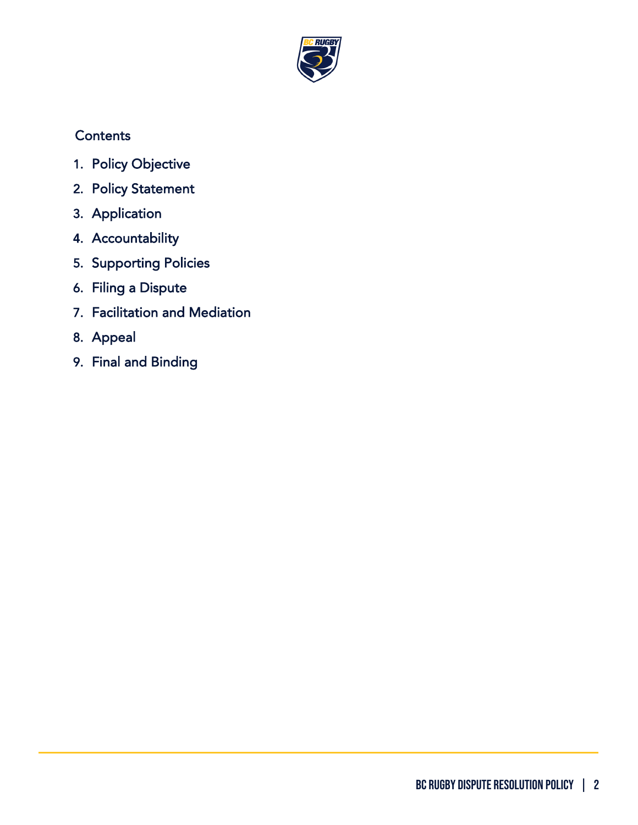

# **Contents**

- 1. [Policy Objective](#page-2-0)
- 2. [Policy Statement](#page-2-1)
- 3. [Application](#page-2-2)
- 4. [Accountability](#page-2-3)
- 5. [Supporting Policies](#page-3-0)
- 6. [Filing a Dispute](#page-3-1)
- 7. [Facilitation and Mediation](#page-3-2)
- 8. [Appeal](#page-4-0)
- 9. [Final and Binding](#page-4-1)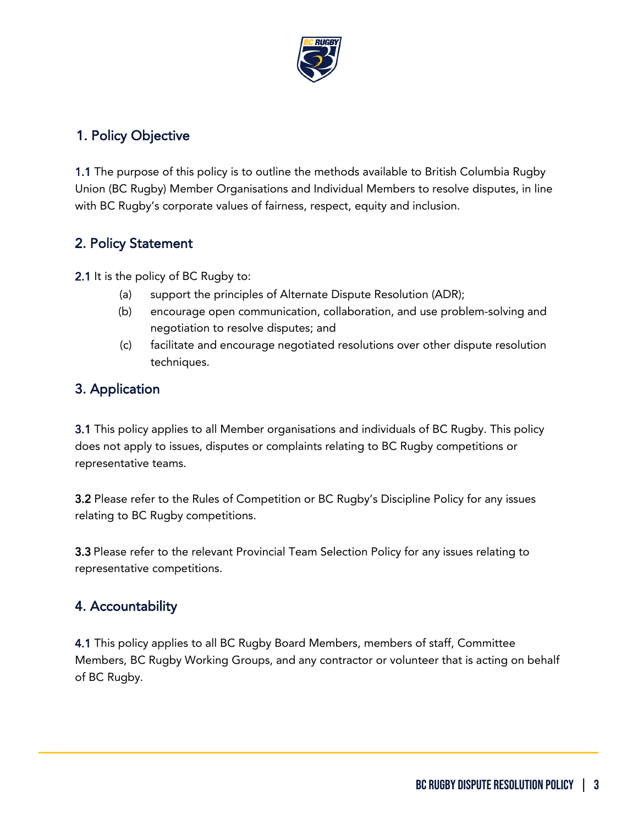

### <span id="page-2-0"></span>1. Policy Objective

1.1 The purpose of this policy is to outline the methods available to British Columbia Rugby Union (BC Rugby) Member Organisations and Individual Members to resolve disputes, in line with BC Rugby's corporate values of fairness, respect, equity and inclusion.

#### <span id="page-2-1"></span>2. Policy Statement

2.1 It is the policy of BC Rugby to:

- (a) support the principles of Alternate Dispute Resolution (ADR);
- (b) encourage open communication, collaboration, and use problem-solving and negotiation to resolve disputes; and
- (c) facilitate and encourage negotiated resolutions over other dispute resolution techniques.

#### <span id="page-2-2"></span>3. Application

3.1 This policy applies to all Member organisations and individuals of BC Rugby. This policy does not apply to issues, disputes or complaints relating to BC Rugby competitions or representative teams.

3.2 Please refer to the Rules of Competition or BC Rugby's Discipline Policy for any issues relating to BC Rugby competitions.

3.3 Please refer to the relevant Provincial Team Selection Policy for any issues relating to representative competitions.

## <span id="page-2-3"></span>4. Accountability

4.1 This policy applies to all BC Rugby Board Members, members of staff, Committee Members, BC Rugby Working Groups, and any contractor or volunteer that is acting on behalf of BC Rugby.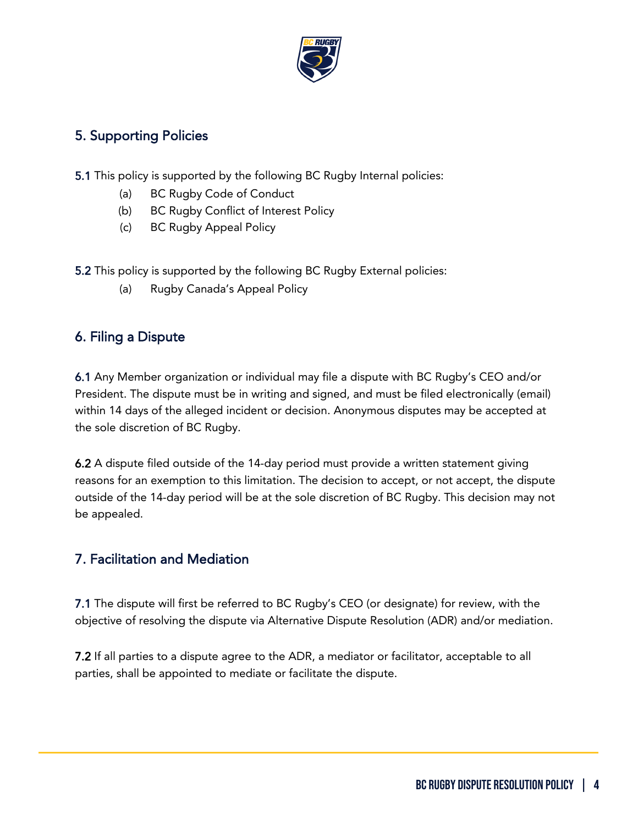

#### <span id="page-3-0"></span>5. Supporting Policies

- 5.1 This policy is supported by the following BC Rugby Internal policies:
	- (a) BC Rugby Code of Conduct
	- (b) BC Rugby Conflict of Interest Policy
	- (c) BC Rugby Appeal Policy

5.2 This policy is supported by the following BC Rugby External policies:

(a) Rugby Canada's Appeal Policy

#### <span id="page-3-1"></span>6. Filing a Dispute

6.1 Any Member organization or individual may file a dispute with BC Rugby's CEO and/or President. The dispute must be in writing and signed, and must be filed electronically (email) within 14 days of the alleged incident or decision. Anonymous disputes may be accepted at the sole discretion of BC Rugby.

6.2 A dispute filed outside of the 14-day period must provide a written statement giving reasons for an exemption to this limitation. The decision to accept, or not accept, the dispute outside of the 14-day period will be at the sole discretion of BC Rugby. This decision may not be appealed.

#### <span id="page-3-2"></span>7. Facilitation and Mediation

7.1 The dispute will first be referred to BC Rugby's CEO (or designate) for review, with the objective of resolving the dispute via Alternative Dispute Resolution (ADR) and/or mediation.

7.2 If all parties to a dispute agree to the ADR, a mediator or facilitator, acceptable to all parties, shall be appointed to mediate or facilitate the dispute.